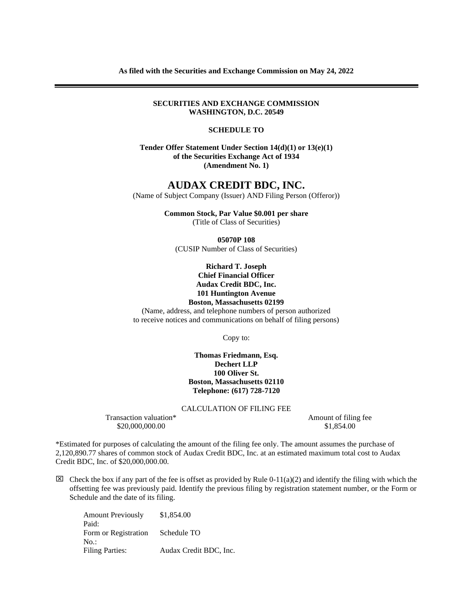**SECURITIES AND EXCHANGE COMMISSION WASHINGTON, D.C. 20549**

## **SCHEDULE TO**

**Tender Offer Statement Under Section 14(d)(1) or 13(e)(1) of the Securities Exchange Act of 1934 (Amendment No. 1)**

## **AUDAX CREDIT BDC, INC.**

(Name of Subject Company (Issuer) AND Filing Person (Offeror))

**Common Stock, Par Value \$0.001 per share** (Title of Class of Securities)

**05070P 108**

(CUSIP Number of Class of Securities)

**Richard T. Joseph Chief Financial Officer Audax Credit BDC, Inc. 101 Huntington Avenue Boston, Massachusetts 02199**

(Name, address, and telephone numbers of person authorized

to receive notices and communications on behalf of filing persons)

Copy to:

**Thomas Friedmann, Esq. Dechert LLP 100 Oliver St. Boston, Massachusetts 02110 Telephone: (617) 728-7120**

CALCULATION OF FILING FEE

Transaction valuation\* Amount of filing fee \$20,000,000.00 \$1,854,00

\*Estimated for purposes of calculating the amount of the filing fee only. The amount assumes the purchase of 2,120,890.77 shares of common stock of Audax Credit BDC, Inc. at an estimated maximum total cost to Audax Credit BDC, Inc. of \$20,000,000.00.

 $\boxtimes$  Check the box if any part of the fee is offset as provided by Rule 0-11(a)(2) and identify the filing with which the offsetting fee was previously paid. Identify the previous filing by registration statement number, or the Form or Schedule and the date of its filing.

Amount Previously Paid: \$1,854.00 Form or Registration No.: Schedule TO Filing Parties: Audax Credit BDC, Inc.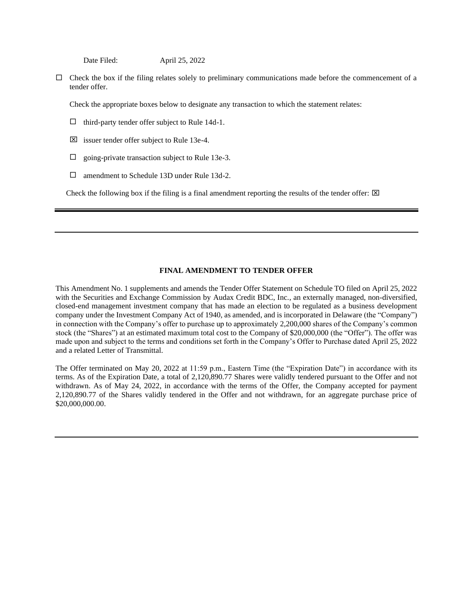Date Filed: April 25, 2022

 $\Box$  Check the box if the filing relates solely to preliminary communications made before the commencement of a tender offer.

Check the appropriate boxes below to designate any transaction to which the statement relates:

- $\Box$  third-party tender offer subject to Rule 14d-1.
- $\boxtimes$  issuer tender offer subject to Rule 13e-4.
- $\Box$  going-private transaction subject to Rule 13e-3.
- □ amendment to Schedule 13D under Rule 13d-2.

Check the following box if the filing is a final amendment reporting the results of the tender offer:  $\boxtimes$ 

## **FINAL AMENDMENT TO TENDER OFFER**

This Amendment No. 1 supplements and amends the Tender Offer Statement on Schedule TO filed on April 25, 2022 with the Securities and Exchange Commission by Audax Credit BDC, Inc., an externally managed, non-diversified, closed-end management investment company that has made an election to be regulated as a business development company under the Investment Company Act of 1940, as amended, and is incorporated in Delaware (the "Company") in connection with the Company's offer to purchase up to approximately 2,200,000 shares of the Company's common stock (the "Shares") at an estimated maximum total cost to the Company of \$20,000,000 (the "Offer"). The offer was made upon and subject to the terms and conditions set forth in the Company's Offer to Purchase dated April 25, 2022 and a related Letter of Transmittal.

The Offer terminated on May 20, 2022 at 11:59 p.m., Eastern Time (the "Expiration Date") in accordance with its terms. As of the Expiration Date, a total of 2,120,890.77 Shares were validly tendered pursuant to the Offer and not withdrawn. As of May 24, 2022, in accordance with the terms of the Offer, the Company accepted for payment 2,120,890.77 of the Shares validly tendered in the Offer and not withdrawn, for an aggregate purchase price of \$20,000,000.00.